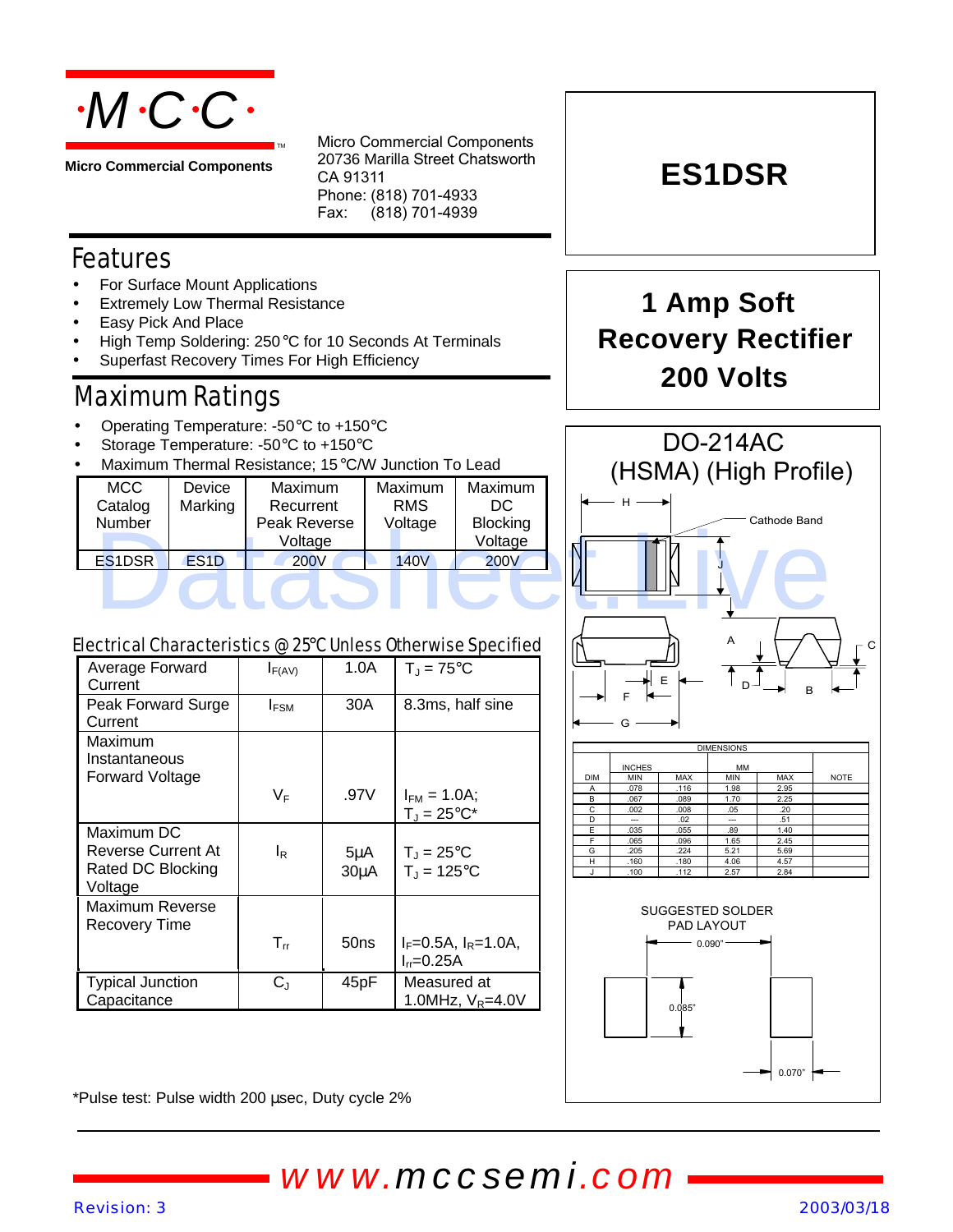

**Micro Commercial Components**

Micro Commercial Components 20736 Marilla Street Chatsworth CA 91311 Phone: (818) 701-4933 Fax: (818) 701-4939

#### Features

- For Surface Mount Applications
- **Extremely Low Thermal Resistance**
- Easy Pick And Place
- High Temp Soldering: 250°C for 10 Seconds At Terminals
- Superfast Recovery Times For High Efficiency

#### Maximum Ratings

- Operating Temperature: -50°C to +150°C
- Storage Temperature: -50°C to +150°C
- Maximum Thermal Resistance; 15°C/W Junction To Lead

| <b>MCC</b><br>Catalog<br>Number | Device<br>Marking | Maximum<br>Recurrent<br>Peak Reverse<br>Voltage | Maximum<br><b>RMS</b><br>Voltage | Maximum<br>DC<br><b>Blocking</b><br>Voltage | וווטו דועורון (הויווטרון<br>Cathode Band |
|---------------------------------|-------------------|-------------------------------------------------|----------------------------------|---------------------------------------------|------------------------------------------|
| ES <sub>1</sub> DSR             | ES <sub>1</sub> D | <b>200V</b>                                     | <b>140V</b>                      | <b>200V</b>                                 | 'N                                       |
|                                 |                   |                                                 |                                  |                                             |                                          |

# **1 Amp Soft Recovery Rectifier 200 Volts**

**ES1DSR**



| Electrical Characteristics @ 25°C Unless Otherwise Specified |
|--------------------------------------------------------------|
|                                                              |
|                                                              |
|                                                              |

| Average Forward<br>Current                                       | $I_{F(AV)}$    | 1.0A                          | $T_{\rm J}$ = 75°C                                |
|------------------------------------------------------------------|----------------|-------------------------------|---------------------------------------------------|
| Peak Forward Surge<br>Current                                    | $I_{FSM}$      | 30A                           | 8.3ms, half sine                                  |
| Maximum<br>Instantaneous<br>Forward Voltage                      |                |                               |                                                   |
|                                                                  | VF             | .97V                          | $I_{FM} = 1.0A;$<br>$T_J = 25^{\circ}C^*$         |
| Maximum DC<br>Reverse Current At<br>Rated DC Blocking<br>Voltage | l <sub>R</sub> | $5\mu$ A<br>30 <sub>µ</sub> A | $T_{\rm J}$ = 25°C<br>$T_{\rm J}$ = 125°C         |
| Maximum Reverse<br>Recovery Time                                 |                |                               |                                                   |
|                                                                  | $T_{rr}$       | 50ns                          | $I_F = 0.5A$ , $I_R = 1.0A$ ,<br>$I_{rr} = 0.25A$ |
| <b>Typical Junction</b><br>Capacitance                           | $C_J$          | 45pF                          | Measured at<br>1.0MHz, $V_R = 4.0V$               |





\*Pulse test: Pulse width 200 μsec, Duty cycle 2%

*www.mccsemi.com*

#### *Revision: 3 2003/03/18*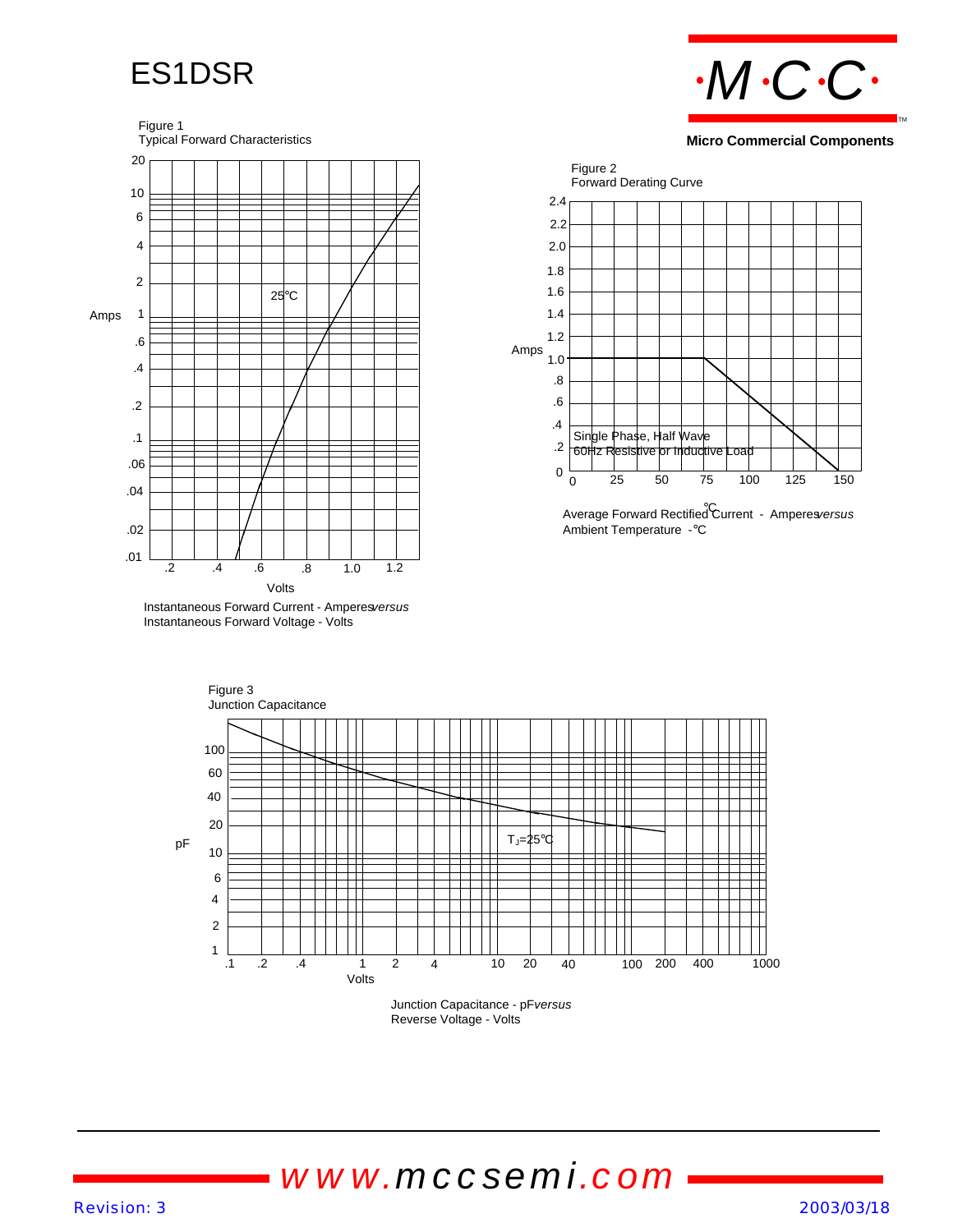### ES1DSR

Figure 1

### *MCC* TM

#### **Micro Commercial Components**



Instantaneous Forward Voltage - Volts



Average Forward Rectified Current - Amperes*versus* °C Ambient Temperature -°C





# *www.mccsemi.com*